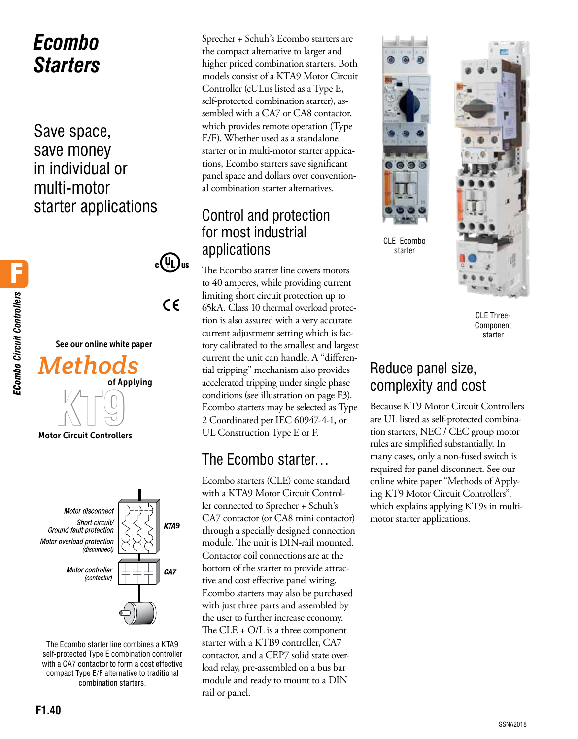# *Ecombo Starters*

Save space, save money in individual or multi-motor starter applications





The Ecombo starter line combines a KTA9 self-protected Type E combination controller with a CA7 contactor to form a cost effective compact Type E/F alternative to traditional combination starters.

Sprecher + Schuh's Ecombo starters are the compact alternative to larger and higher priced combination starters. Both models consist of a KTA9 Motor Circuit Controller (cULus listed as a Type E, self-protected combination starter), assembled with a CA7 or CA8 contactor, which provides remote operation (Type E/F). Whether used as a standalone starter or in multi-motor starter applications, Ecombo starters save significant panel space and dollars over conventional combination starter alternatives.

## Control and protection for most industrial applications

The Ecombo starter line covers motors to 40 amperes, while providing current limiting short circuit protection up to 65kA. Class 10 thermal overload protection is also assured with a very accurate current adjustment setting which is factory calibrated to the smallest and largest current the unit can handle. A "differential tripping" mechanism also provides accelerated tripping under single phase conditions (see illustration on page F3). Ecombo starters may be selected as Type 2 Coordinated per IEC 60947-4-1, or UL Construction Type E or F.

## The Ecombo starter…

Ecombo starters (CLE) come standard with a KTA9 Motor Circuit Controller connected to Sprecher + Schuh's CA7 contactor (or CA8 mini contactor) through a specially designed connection module. The unit is DIN-rail mounted. Contactor coil connections are at the bottom of the starter to provide attractive and cost effective panel wiring. Ecombo starters may also be purchased with just three parts and assembled by the user to further increase economy. The CLE + O/L is a three component starter with a KTB9 controller, CA7 contactor, and a CEP7 solid state overload relay, pre-assembled on a bus bar module and ready to mount to a DIN rail or panel.



CLE Ecombo starter



CLE Three-Component starter

## Reduce panel size, complexity and cost

Because KT9 Motor Circuit Controllers are UL listed as self-protected combination starters, NEC / CEC group motor rules are simplified substantially. In many cases, only a non-fused switch is required for panel disconnect. See our online white paper "Methods of Applying KT9 Motor Circuit Controllers", which explains applying KT9s in multimotor starter applications.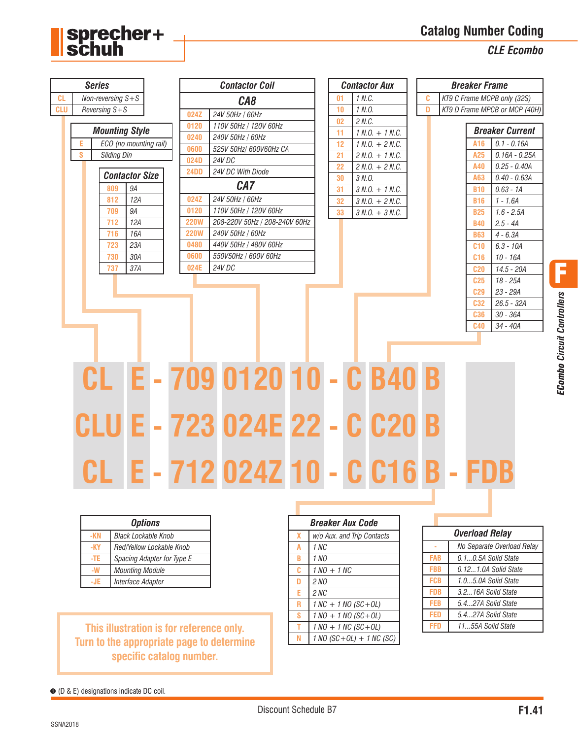**Catalog Number Coding**

*CLE Ecombo*



| <b>Options</b>                    |                   |  |  |  |  |  |  |
|-----------------------------------|-------------------|--|--|--|--|--|--|
| <b>Black Lockable Knob</b><br>-KN |                   |  |  |  |  |  |  |
| Red/Yellow Lockable Knob<br>-KY   |                   |  |  |  |  |  |  |
| Spacing Adapter for Type E<br>-TF |                   |  |  |  |  |  |  |
| <b>Mounting Module</b>            |                   |  |  |  |  |  |  |
|                                   | Interface Adapter |  |  |  |  |  |  |

sprecher+<br>schuh

## **This illustration is for reference only. Turn to the appropriate page to determine specific catalog number.**

|   | <i><b>Breaker Aux Code</b></i> |  |  |  |  |  |  |  |
|---|--------------------------------|--|--|--|--|--|--|--|
| x | w/o Aux. and Trip Contacts     |  |  |  |  |  |  |  |
|   | 1 NC                           |  |  |  |  |  |  |  |
| R | 1 NO                           |  |  |  |  |  |  |  |
| c | $1 NO + 1 NC$                  |  |  |  |  |  |  |  |
| D | 2 NO                           |  |  |  |  |  |  |  |
| E | 2 NC                           |  |  |  |  |  |  |  |
| R | $1 NC + 1 NO (SC + OL)$        |  |  |  |  |  |  |  |
| S | $1 NO + 1 NO (SC + OL)$        |  |  |  |  |  |  |  |
|   | $1 NO + 1 NC (SC + OL)$        |  |  |  |  |  |  |  |
|   | $1 NO (SC + OL) + 1 NC (SC)$   |  |  |  |  |  |  |  |

|            | Overload Relav             |
|------------|----------------------------|
|            | No Separate Overload Relay |
| <b>FAB</b> | 0.1 0.5A Solid State       |
| <b>FBB</b> | 0.12 1.0A Solid State      |
| <b>FCB</b> | 10 5 0A Solid State        |
| FDB        | 32 16A Solid State         |
| <b>FEB</b> | 5.427A Solid State         |
| FED        | 54 27A Solid State         |
| FED        | 1155A Solid State          |

➊ (D & E) designations indicate DC coil.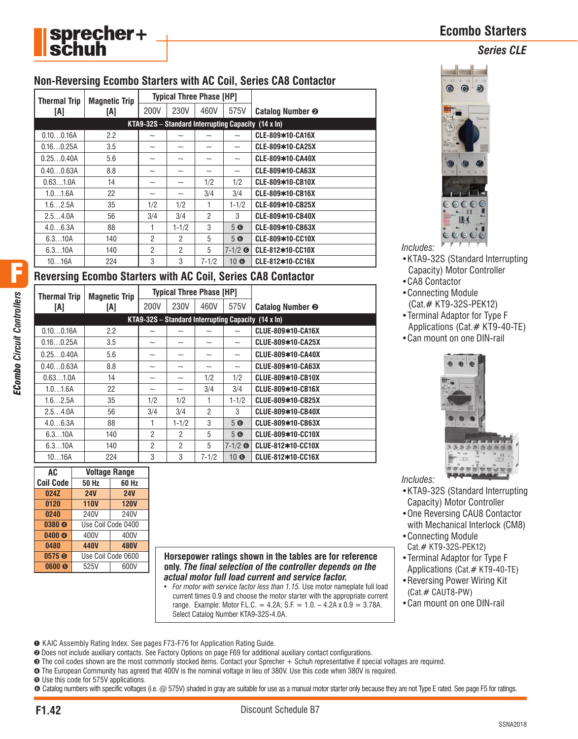**Ecombo Starters**

*Series CLE*



## **Non-Reversing Ecombo Starters with AC Coil, Series CA8 Contactor**

| <b>Thermal Trip</b><br><b>Magnetic Trip</b> |     |                           | <b>Typical Three Phase [HP]</b>                            |                |                           |                         |
|---------------------------------------------|-----|---------------------------|------------------------------------------------------------|----------------|---------------------------|-------------------------|
| [A]                                         | [A] | 200V                      | 230V                                                       | 460V           | 575V                      | <b>Catalog Number @</b> |
|                                             |     |                           | KTA9-32S – Standard Interrupting Capacity $(14 \times ln)$ |                |                           |                         |
| 0.100.16A                                   | 2.2 | $\widetilde{\phantom{m}}$ | $\widetilde{\phantom{m}}$                                  | ~              | $\tilde{\phantom{a}}$     | CLE-809*10-CA16X        |
| 0.160.25A                                   | 3.5 | ~                         | $\widetilde{\phantom{m}}$                                  | ~              | $\widetilde{\phantom{m}}$ | CLE-809*10-CA25X        |
| 0.250.40A                                   | 5.6 | ~                         | -                                                          | ~              | $\widetilde{\phantom{m}}$ | CLE-809*10-CA40X        |
| 0.400.63A                                   | 8.8 | ~                         | ~                                                          | ~              | $\widetilde{\phantom{m}}$ | CLE-809*10-CA63X        |
| 0.631.0A                                    | 14  | ~                         | ~                                                          | 1/2            | 1/2                       | CLE-809*10-CB10X        |
| 1.01.6A                                     | 22  | ~                         | $\widetilde{\phantom{m}}$                                  | 3/4            | 3/4                       | CLE-809*10-CB16X        |
| 1.62.5A                                     | 35  | 1/2                       | 1/2                                                        | 1              | $1 - 1/2$                 | CLE-809*10-CB25X        |
| 2.54.0A                                     | 56  | 3/4                       | 3/4                                                        | $\overline{2}$ | 3                         | CLE-809*10-CB40X        |
| 4.06.3A                                     | 88  |                           | $1 - 1/2$                                                  | 3              | 5 <sup>°</sup>            | CLE-809*10-CB63X        |
| 6.310A                                      | 140 | $\overline{2}$            | $\overline{2}$                                             | 5              | 5 <sup>°</sup>            | CLE-809*10-CC10X        |
| 6.310A                                      | 140 | $\overline{2}$            | $\overline{2}$                                             | 5              | $7 - 1/2$ ©               | CLE-812*10-CC10X        |
| 1016A                                       | 224 | 3                         | 3                                                          | $7 - 1/2$      | 10 <sup>°</sup>           | CLE-812*10-CC16X        |

## **Reversing Ecombo Starters with AC Coil, Series CA8 Contactor**

|                                                            |                           |                           | <b>Typical Three Phase [HP]</b> | <b>Magnetic Trip</b>      | <b>Thermal Trip</b> |           |  |
|------------------------------------------------------------|---------------------------|---------------------------|---------------------------------|---------------------------|---------------------|-----------|--|
| <b>Catalog Number @</b>                                    | 575V                      | 460V                      | 230V                            | 200V                      | [A]                 | IAI       |  |
| KTA9-32S – Standard Interrupting Capacity $(14 \times ln)$ |                           |                           |                                 |                           |                     |           |  |
| CLUE-809*10-CA16X                                          | $\tilde{}$                | $\widetilde{\phantom{m}}$ | $\tilde{\phantom{a}}$           | $\tilde{\phantom{a}}$     | 2.2                 | 0.100.16A |  |
| CLUE-809*10-CA25X                                          | $\widetilde{\phantom{m}}$ | $\widetilde{\phantom{m}}$ | $\widetilde{\phantom{m}}$       | $\widetilde{\phantom{m}}$ | 3.5                 | 0.160.25A |  |
| CLUE-809*10-CA40X                                          | $\widetilde{\phantom{m}}$ | $\widetilde{\phantom{m}}$ | $\widetilde{\phantom{m}}$       | $\widetilde{\phantom{m}}$ | 5.6                 | 0.250.40A |  |
| CLUE-809*10-CA63X                                          | $\widetilde{\phantom{m}}$ | $\widetilde{\phantom{m}}$ | $\widetilde{\phantom{m}}$       | $\widetilde{\phantom{m}}$ | 8.8                 | 0.400.63A |  |
| CLUE-809*10-CB10X                                          | 1/2                       | 1/2                       | $\widetilde{\phantom{m}}$       | $\widetilde{\phantom{m}}$ | 14                  | 0.631.0A  |  |
| CLUE-809*10-CB16X                                          | 3/4                       | 3/4                       | $\widetilde{\phantom{m}}$       | $\widetilde{\phantom{m}}$ | 22                  | 1.01.6A   |  |
| CLUE-809*10-CB25X                                          | $1 - 1/2$                 |                           | 1/2                             | 1/2                       | 35                  | 1.62.5A   |  |
| CLUE-809*10-CB40X                                          | 3                         | $\overline{2}$            | 3/4                             | 3/4                       | 56                  | 2.54.0A   |  |
| CLUE-809*10-CB63X                                          | 5 <sup>°</sup>            | 3                         | $1 - 1/2$                       | 1                         | 88                  | 4.06.3A   |  |
| CLUE-809*10-CC10X                                          | 5 <sup>°</sup>            | 5                         | $\mathcal{P}$                   | $\overline{2}$            | 140                 | 6.310A    |  |
| CLUE-812*10-CC10X                                          | $7-1/2$ G                 | 5                         | $\mathcal{P}$                   | $\overline{2}$            | 140                 | 6.310A    |  |
| CLUE-812*10-CC16X                                          | $10$ $\odot$              | $7 - 1/2$                 | 3                               | 3                         | 224                 | 1016A     |  |

| AC                       | <b>Voltage Range</b> |                    |  |  |  |  |  |
|--------------------------|----------------------|--------------------|--|--|--|--|--|
| <b>Coil Code</b>         | <b>50 Hz</b>         | 60 Hz              |  |  |  |  |  |
| 024Z                     | <b>24V</b>           | <b>24V</b>         |  |  |  |  |  |
| 0120                     | <b>110V</b>          | <b>120V</b>        |  |  |  |  |  |
| 0240                     | 240V                 | 240V               |  |  |  |  |  |
| 0380 <sup>o</sup>        |                      | Use Coil Code 0400 |  |  |  |  |  |
| 0400 <sup>o</sup>        | 400V                 | 400V               |  |  |  |  |  |
| 0480                     | 440V                 | <b>480V</b>        |  |  |  |  |  |
| 0575 <sup><b>®</b></sup> | Use Coil Code 0600   |                    |  |  |  |  |  |
| 0600 <sub>®</sub>        | 525V                 | 600V               |  |  |  |  |  |

**Horsepower ratings shown in the tables are for reference only.** *The final selection of the controller depends on the actual motor full load current and service factor.*

• *For motor with service factor less than 1.15.* Use motor nameplate full load current times 0.9 and choose the motor starter with the appropriate current range. Example: Motor F.L.C. = 4.2A; S.F. =  $1.0. - 4.2A \times 0.9 = 3.78A$ . Select Catalog Number KTA9-32S-4.0A.



- •KTA9-32S (Standard Interrupting Capacity) Motor Controller
- •CA8 Contactor

*Includes:*

- •Connecting Module (Cat.# KT9-32S-PEK12)
- •Terminal Adaptor for Type F Applications (Cat.# KT9-40-TE)
- •Can mount on one DIN-rail



- *Includes:*
- •KTA9-32S (Standard Interrupting Capacity) Motor Controller
- •One Reversing CAU8 Contactor with Mechanical Interlock (CM8)
- •Connecting Module Cat.# KT9-32S-PEK12)
- •Terminal Adaptor for Type F Applications (Cat.# KT9-40-TE)
- •Reversing Power Wiring Kit (Cat.# CAUT8-PW)
- •Can mount on one DIN-rail

➊ KAIC Assembly Rating Index. See pages F73-F76 for Application Rating Guide.

- ➋ Does not include auxiliary contacts. See Factory Options on page F69 for additional auxiliary contact configurations.
- ➌ The coil codes shown are the most commonly stocked items. Contact your Sprecher + Schuh representative if special voltages are required.
- ➍ The European Community has agreed that 400V is the nominal voltage in lieu of 380V. Use this code when 380V is required.
- ➎ Use this code for 575V applications.
- Catalog numbers with specific voltages (i.e. @ 575V) shaded in gray are suitable for use as a manual motor starter only because they are not Type E rated. See page F5 for ratings.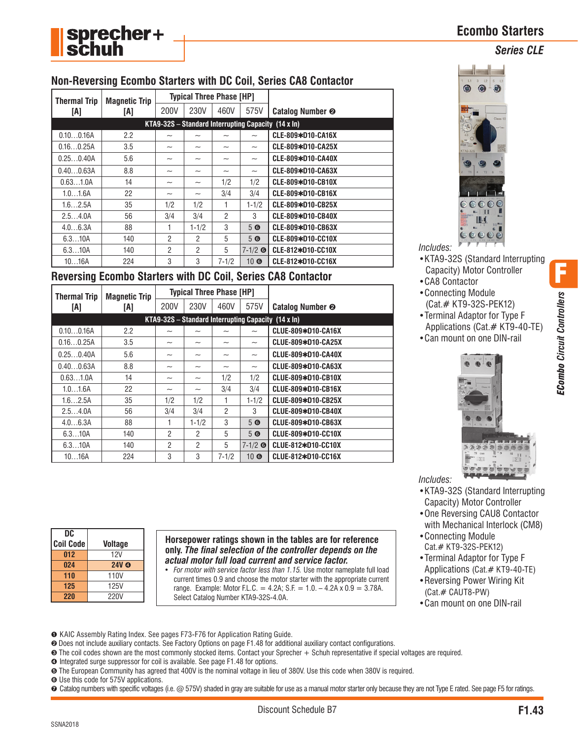

## **Non-Reversing Ecombo Starters with DC Coil, Series CA8 Contactor**

| <b>Thermal Trip</b> |                             | <b>Typical Three Phase [HP]</b>                            |                           |                           |                           |                             |
|---------------------|-----------------------------|------------------------------------------------------------|---------------------------|---------------------------|---------------------------|-----------------------------|
| [A]                 | <b>Magnetic Trip</b><br>[A] | 200V                                                       | 230V                      | 460V                      | 575V                      | Catalog Number <sup>®</sup> |
|                     |                             | KTA9-32S – Standard Interrupting Capacity $(14 \times ln)$ |                           |                           |                           |                             |
| 0.100.16A           | 2.2                         | $\tilde{\phantom{a}}$                                      | $\widetilde{\phantom{m}}$ | $\widetilde{\phantom{m}}$ | $\tilde{}$                | CLE-809*D10-CA16X           |
| 0.160.25A           | 3.5                         | $\widetilde{\phantom{m}}$                                  | $\widetilde{\phantom{m}}$ | ~                         | $\widetilde{\phantom{m}}$ | CLE-809*D10-CA25X           |
| 0.250.40A           | 5.6                         | $\widetilde{\phantom{m}}$                                  | $\widetilde{\phantom{m}}$ | $\widetilde{\phantom{m}}$ | $\widetilde{\phantom{m}}$ | CLE-809*D10-CA40X           |
| 0.400.63A           | 8.8                         | $\widetilde{\phantom{m}}$                                  | $\widetilde{\phantom{m}}$ | $\widetilde{\phantom{m}}$ | $\widetilde{\phantom{m}}$ | CLE-809*D10-CA63X           |
| 0.631.0A            | 14                          | $\widetilde{\phantom{m}}$                                  | $\widetilde{\phantom{m}}$ | 1/2                       | 1/2                       | CLE-809*D10-CB10X           |
| 1.01.6A             | 22                          | $\widetilde{\phantom{m}}$                                  | $\widetilde{\phantom{m}}$ | 3/4                       | 3/4                       | CLE-809*D10-CB16X           |
| 1.62.5A             | 35                          | 1/2                                                        | 1/2                       |                           | $1 - 1/2$                 | CLE-809*D10-CB25X           |
| 2.54.0A             | 56                          | 3/4                                                        | 3/4                       | $\mathcal{P}$             | 3                         | CLE-809*D10-CB40X           |
| 4.06.3A             | 88                          |                                                            | $1 - 1/2$                 | 3                         | 5 <sup>°</sup>            | CLE-809*D10-CB63X           |
| 6.310A              | 140                         | $\mathfrak{p}$                                             | $\mathcal{P}$             | 5                         | 5 <sup>°</sup>            | CLE-809*D10-CC10X           |
| 6.310A              | 140                         | $\overline{2}$                                             | $\mathfrak{p}$            | 5                         | $7-1/2$ ©                 | CLE-812*D10-CC10X           |
| 1016A               | 224                         | 3                                                          | 3                         | $7 - 1/2$                 | $10\,$ G                  | CLE-812*D10-CC16X           |

## **Reversing Ecombo Starters with DC Coil, Series CA8 Contactor**

| <b>Thermal Trip</b> | <b>Magnetic Trip</b> |                           | <b>Typical Three Phase [HP]</b> |                           |                           |                                                       |
|---------------------|----------------------|---------------------------|---------------------------------|---------------------------|---------------------------|-------------------------------------------------------|
| [A]                 | [A]                  | 200V                      | 230V                            | 460V                      | 575V                      | <b>Catalog Number @</b>                               |
|                     |                      |                           |                                 |                           |                           | $KTA9-32S - Standard Interrupting Capacity (14 x In)$ |
| 0.100.16A           | 2.2                  | $\widetilde{\phantom{m}}$ |                                 |                           | $\tilde{}$                | CLUE-809*D10-CA16X                                    |
| 0.160.25A           | 3.5                  | $\widetilde{\phantom{m}}$ | $\widetilde{\phantom{m}}$       | $\widetilde{\phantom{m}}$ | $\widetilde{\phantom{m}}$ | CLUE-809*D10-CA25X                                    |
| 0.250.40A           | 5.6                  | $\widetilde{\phantom{m}}$ | ~                               | $\widetilde{\phantom{m}}$ | $\widetilde{\phantom{m}}$ | CLUE-809*D10-CA40X                                    |
| 0.400.63A           | 8.8                  | $\widetilde{\phantom{m}}$ | $\widetilde{\phantom{m}}$       | $\widetilde{\phantom{m}}$ | $\widetilde{\phantom{m}}$ | CLUE-809*D10-CA63X                                    |
| 0.631.0A            | 14                   | $\widetilde{\phantom{m}}$ | $\widetilde{\phantom{m}}$       | 1/2                       | 1/2                       | CLUE-809*D10-CB10X                                    |
| 1.01.6A             | 22                   | $\widetilde{\phantom{m}}$ | $\widetilde{\phantom{m}}$       | 3/4                       | 3/4                       | CLUE-809*D10-CB16X                                    |
| 1.62.5A             | 35                   | 1/2                       | 1/2                             |                           | $1 - 1/2$                 | CLUE-809*D10-CB25X                                    |
| 2.54.0A             | 56                   | 3/4                       | 3/4                             | $\mathfrak{p}$            | 3                         | CLUE-809*D10-CB40X                                    |
| 4.06.3A             | 88                   |                           | $1 - 1/2$                       | 3                         | 5 <sup>°</sup>            | CLUE-809*D10-CB63X                                    |
| 6.310A              | 140                  | $\overline{2}$            | 2                               | 5                         | 5 <sup>°</sup>            | CLUE-809*D10-CC10X                                    |
| 6.310A              | 140                  | 2                         | $\mathcal{P}$                   | 5                         | $7-1/2$ ©                 | CLUE-812*D10-CC10X                                    |
| 1016A               | 224                  | 3                         | 3                               | $7 - 1/2$                 | $10 \, \text{O}$          | CLUE-812*D10-CC16X                                    |

## **Ecombo Starters** *Series CLE*



*Includes:*

- •KTA9-32S (Standard Interrupting Capacity) Motor Controller
- •CA8 Contactor
- •Connecting Module (Cat.# KT9-32S-PEK12)
- •Terminal Adaptor for Type F Applications (Cat.# KT9-40-TE)
- •Can mount on one DIN-rail



*Includes:*

- •KTA9-32S (Standard Interrupting Capacity) Motor Controller
- •One Reversing CAU8 Contactor with Mechanical Interlock (CM8)
- •Connecting Module Cat.# KT9-32S-PEK12)
- •Terminal Adaptor for Type F Applications (Cat.# KT9-40-TE)
- •Reversing Power Wiring Kit (Cat.# CAUT8-PW)
- •Can mount on one DIN-rail

**DC Coil Code Voltage 012** 12V 024 24V **O 110** 110V **125** 125V **220** 220V

**Horsepower ratings shown in the tables are for reference only.** *The final selection of the controller depends on the actual motor full load current and service factor.*

- *For motor with service factor less than 1.15.* Use motor nameplate full load current times 0.9 and choose the motor starter with the appropriate current range. Example: Motor F.L.C. = 4.2A; S.F. = 1.0. - 4.2A x  $0.9 = 3.78$ A. Select Catalog Number KTA9-32S-4.0A.
- ➊ KAIC Assembly Rating Index. See pages F73-F76 for Application Rating Guide.
- ➋ Does not include auxiliary contacts. See Factory Options on page F1.48 for additional auxiliary contact configurations.
- ➌ The coil codes shown are the most commonly stocked items. Contact your Sprecher + Schuh representative if special voltages are required.
- ➍ Integrated surge suppressor for coil is available. See page F1.48 for options.
- ➎ The European Community has agreed that 400V is the nominal voltage in lieu of 380V. Use this code when 380V is required.
- ➏ Use this code for 575V applications.
- ➐ Catalog numbers with specific voltages (i.e. @ 575V) shaded in gray are suitable for use as a manual motor starter only because they are not Type E rated. See page F5 for ratings.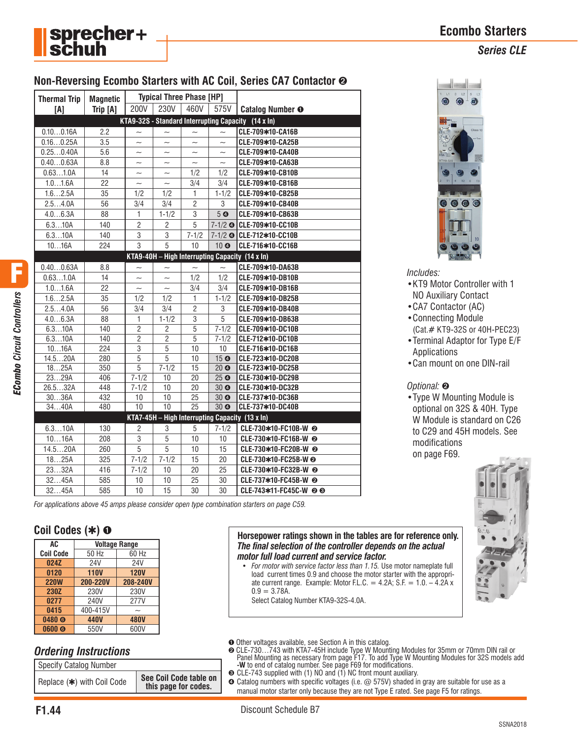

## **Ecombo Starters**

*Series CLE*

## **Non-Reversing Ecombo Starters with AC Coil, Series CA7 Contactor** ➋

|  | <b>Thermal Trip</b> | <b>Magnetic</b> | <b>Typical Three Phase [HP]</b> |                       |                           |                                    |                                                     |
|--|---------------------|-----------------|---------------------------------|-----------------------|---------------------------|------------------------------------|-----------------------------------------------------|
|  | [A]                 | Trip [A]        | 200V                            | 230V                  | 460V                      | 575V                               | <b>Catalog Number O</b>                             |
|  |                     |                 |                                 |                       |                           |                                    | KTA9-32S - Standard Interrupting Capacity (14 x In) |
|  | 0.100.16A           | 2.2             | $\widetilde{\phantom{m}}$       | $\tilde{\phantom{a}}$ | $\sim$                    | $\sim$                             | CLE-709*10-CA16B                                    |
|  | 0.160.25A           | 3.5             | $\tilde{\phantom{a}}$           | $\tilde{\phantom{a}}$ | $\sim$                    | $\sim$                             | CLE-709*10-CA25B                                    |
|  | 0.250.40A           | 5.6             | $\widetilde{\phantom{m}}$       | $\tilde{\phantom{a}}$ | $\widetilde{\phantom{m}}$ | $\sim$                             | CLE-709*10-CA40B                                    |
|  | 0.400.63A           | 8.8             | $\tilde{\phantom{a}}$           | $\sim$                | $\sim$                    | $\sim$                             | CLE-709*10-CA63B                                    |
|  | 0.631.0A            | 14              | $\tilde{}$                      | $\tilde{\phantom{0}}$ | 1/2                       | 1/2                                | CLE-709*10-CB10B                                    |
|  | 1.01.6A             | 22              | $\sim$                          | $\sim$                | 3/4                       | 3/4                                | CLE-709*10-CB16B                                    |
|  | 1.62.5A             | 35              | 1/2                             | 1/2                   | $\mathbf{1}$              | $1 - 1/2$                          | CLE-709*10-CB25B                                    |
|  | 2.54.0A             | 56              | 3/4                             | 3/4                   | $\overline{2}$            | 3                                  | CLE-709*10-CB40B                                    |
|  | 4.06.3A             | 88              | 1                               | $1 - 1/2$             | 3                         | 5 <sub>o</sub>                     | CLE-709*10-CB63B                                    |
|  | 6.310A              | 140             | 2                               | 2                     | 5                         |                                    | 7-1/2 © CLE-709*10-CC10B                            |
|  | 6.310A              | 140             | 3                               | 3                     | $7 - 1/2$                 |                                    | 7-1/2 © CLE-712*10-CC10B                            |
|  | 1016A               | 224             | $\overline{3}$                  | 5                     | 10                        | 10 0                               | CLE-716*10-CC16B                                    |
|  |                     |                 |                                 |                       |                           |                                    | KTA9-40H - High Interrupting Capacity (14 x In)     |
|  | 0.400.63A           | 8.8             | $\tilde{\phantom{a}}$           | $\tilde{\phantom{a}}$ | $\sim$                    | $\sim$                             | CLE-709*10-DA63B                                    |
|  | 0.631.0A            | 14              | $\tilde{\phantom{a}}$           | $\tilde{\phantom{a}}$ | 1/2                       | 1/2                                | CLE-709*10-DB10B                                    |
|  | 1.01.6A             | 22              | $\tilde{\phantom{a}}$           | $\sim$                | 3/4                       | 3/4                                | CLE-709*10-DB16B                                    |
|  | 1.62.5A             | 35              | 1/2                             | 1/2                   | $\mathbf{1}$              | $1 - 1/2$                          | CLE-709*10-DB25B                                    |
|  | 2.54.0A             | 56              | 3/4                             | 3/4                   | $\overline{2}$            | 3                                  | CLE-709*10-DB40B                                    |
|  | 4.06.3A             | 88              | 1                               | $1 - 1/2$             | 3                         | 5                                  | CLE-709*10-DB63B                                    |
|  | 6.310A              | 140             | $\overline{2}$                  | $\overline{c}$        | $\overline{5}$            | $\frac{1}{7-1/2}$                  | CLE-709*10-DC10B                                    |
|  | 6.310A              | 140             | $\overline{2}$                  | $\overline{c}$        | $\overline{5}$            | $7 - 1/2$                          | CLE-712*10-DC10B                                    |
|  | 1016A               | 224             | $\overline{3}$                  | 5                     | 10                        | 10                                 | CLE-716*10-DC16B                                    |
|  | 14.520A             | 280             | $\overline{5}$                  | $\overline{5}$        | 10                        | 15 <sup>°</sup>                    | CLE-723*10-DC20B                                    |
|  | 1825A               | 350             | $\overline{5}$                  | $7 - 1/2$             | 15                        | 20 <sub>o</sub>                    | CLE-723*10-DC25B                                    |
|  | 2329A               | 406             | $7 - 1/2$                       | 10                    | 20                        | 25 <sup>°</sup>                    | CLE-730*10-DC29B                                    |
|  | 26.532A<br>3036A    | 448<br>432      | $7 - 1/2$<br>10                 | 10<br>10              | 20<br>25                  | 30 <sub>o</sub><br>30 <sub>o</sub> | CLE-730*10-DC32B<br>CLE-737*10-DC36B                |
|  | 3440A               | 480             | 10                              | $\overline{10}$       | $\overline{25}$           | 30 <sub>o</sub>                    | CLE-737*10-DC40B                                    |
|  |                     |                 |                                 |                       |                           |                                    | KTA7-45H $-$ High Interrupting Capacity (13 x In)   |
|  |                     |                 |                                 |                       |                           |                                    |                                                     |
|  | 6.310A              | 130             | $\overline{2}$                  | 3                     | 5                         | $7 - 1/2$                          | CLE-730*10-FC10B-W @                                |
|  | 1016A               | 208             | 3                               | 5                     | 10                        | 10                                 | CLE-730*10-FC16B-W @                                |
|  | 14.520A             | 260             | 5                               | 5                     | 10                        | 15                                 | CLE-730*10-FC20B-W @<br>CLE-730*10-FC25B-W @        |
|  | 1825A               | 325             | $7 - 1/2$                       | $7 - 1/2$             | 15                        | 20                                 |                                                     |
|  | 2332A               | 416             | $7 - 1/2$                       | 10                    | 20<br>25                  | 25                                 | CLE-730*10-FC32B-W @                                |
|  | 3245A               | 585             | 10                              | 10                    |                           | 30                                 | CLE-737*10-FC45B-W <sup>@</sup>                     |
|  | 3245A               | 585             | 10                              | 15                    | 30                        | 30                                 | CLE-743*11-FC45C-W @ ®                              |



*Includes:*

- •KT9 Motor Controller with 1 NO Auxiliary Contact
- •CA7 Contactor (AC)
- •Connecting Module
- (Cat.# KT9-32S or 40H-PEC23)
- •Terminal Adaptor for Type E/F Applications
- •Can mount on one DIN-rail

#### *Optional:* ➋

•Type W Mounting Module is optional on 32S & 40H. Type W Module is standard on C26 to C29 and 45H models. See modifications on page F69.



**Horsepower ratings shown in the tables are for reference only.**  *The final selection of the controller depends on the actual motor full load current and service factor.*

- *For motor with service factor less than 1.15.* Use motor nameplate full load current times 0.9 and choose the motor starter with the appropriate current range. Example: Motor F.L.C. =  $4.2A$ ; S.F. =  $1.0. - 4.2A$  x  $0.9 = 3.78A$ .
	- Select Catalog Number KTA9-32S-4.0A.
- ➊ Other voltages available, see Section A in this catalog.
- ➋ CLE-730…743 with KTA7-45H include Type W Mounting Modules for 35mm or 70mm DIN rail or Panel Mounting as necessary from page F17. To add Type W Mounting Modules for 32S models add **-W** to end of catalog number. See page F69 for modifications. ➌ CLE-743 supplied with (1) NO and (1) NC front mount auxiliary.
- ➍ Catalog numbers with specific voltages (i.e. @ 575V) shaded in gray are suitable for use as a manual motor starter only because they are not Type E rated. See page F5 for ratings.

*ECombo Circuit Controllers*

F

*For applications above 45 amps please consider open type combination starters on page C59.*

## **Coil Codes (**✱**)** ➊

| AC.               | <b>Voltage Range</b> |             |  |  |  |  |  |
|-------------------|----------------------|-------------|--|--|--|--|--|
| <b>Coil Code</b>  | 50 Hz                | 60 Hz       |  |  |  |  |  |
| 024Z              | 24V                  | 24V         |  |  |  |  |  |
| 0120              | <b>110V</b>          | <b>120V</b> |  |  |  |  |  |
| <b>220W</b>       | 200-220V             | 208-240V    |  |  |  |  |  |
| 230Z              | 230V                 | 230V        |  |  |  |  |  |
| 0277              | 240V                 | 277V        |  |  |  |  |  |
| 0415              | 400-415V             |             |  |  |  |  |  |
| 0480 <sub>®</sub> | 440V                 | <b>480V</b> |  |  |  |  |  |
| 0600 <sub>®</sub> | 550V                 | 600V        |  |  |  |  |  |

## *Ordering Instructions*

| Specify Catalog Number     |                                                |
|----------------------------|------------------------------------------------|
| Replace (*) with Coil Code | See Coil Code table on<br>this page for codes. |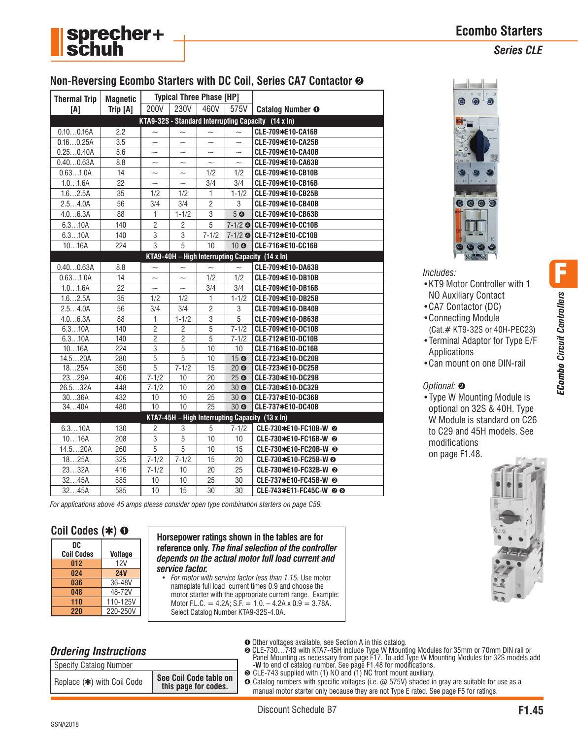

F

*ECombo Circuit Controllers*



## **Non-Reversing Ecombo Starters with DC Coil, Series CA7 Contactor** ➋

| <b>Thermal Trip</b> | <b>Magnetic</b> | <b>Typical Three Phase [HP]</b> |                           |                           |                           |                                                     |
|---------------------|-----------------|---------------------------------|---------------------------|---------------------------|---------------------------|-----------------------------------------------------|
| [A]                 | Trip [A]        | 200V                            | 230V                      | 460V                      | 575V                      | <b>Catalog Number O</b>                             |
|                     |                 |                                 |                           |                           |                           | KTA9-32S - Standard Interrupting Capacity (14 x In) |
| 0.100.16A           | 2.2             | $\tilde{}$                      |                           |                           | $\sim$                    | CLE-709*E10-CA16B                                   |
| 0.160.25A           | 3.5             | $\sim$                          | $\sim$                    | $\sim$                    | $\sim$                    | CLE-709*E10-CA25B                                   |
| 0.250.40A           | 5.6             | $\widetilde{\phantom{m}}$       | $\widetilde{\phantom{m}}$ | $\widetilde{\phantom{m}}$ | $\widetilde{\phantom{m}}$ | CLE-709*E10-CA40B                                   |
| 0.400.63A           | 8.8             | $\tilde{\phantom{a}}$           | $\tilde{}$                | $\sim$                    | $\sim$                    | CLE-709*E10-CA63B                                   |
| 0.631.0A            | 14              | $\tilde{}$                      | $\tilde{}$                | 1/2                       | 1/2                       | CLE-709*E10-CB10B                                   |
| 1.01.6A             | 22              | $\tilde{}$                      | $\tilde{\phantom{a}}$     | 3/4                       | 3/4                       | CLE-709*E10-CB16B                                   |
| 1.62.5A             | 35              | 1/2                             | 1/2                       | 1                         | $1 - 1/2$                 | CLE-709*E10-CB25B                                   |
| 2.54.0A             | 56              | 3/4                             | 3/4                       | $\overline{2}$            | 3                         | CLE-709*E10-CB40B                                   |
| 4.06.3A             | 88              | $\mathbf{1}$                    | $1 - 1/2$                 | $\overline{3}$            | 5 <sub>o</sub>            | CLE-709*E10-CB63B                                   |
| 6.310A              | 140             | $\overline{2}$                  | $\overline{c}$            | 5                         |                           | 7-1/2 © CLE-709*E10-CC10B                           |
| 6.310A              | 140             | 3                               | $\overline{3}$            | $7 - 1/2$                 |                           | 7-1/2 @ CLE-712*E10-CC10B                           |
| 1016A               | 224             | 3                               | $\overline{5}$            | 10                        | 10 <sup>o</sup>           | CLE-716*E10-CC16B                                   |
|                     |                 |                                 |                           |                           |                           | KTA9-40H - High Interrupting Capacity (14 x ln)     |
| 0.400.63A           | 8.8             |                                 |                           |                           |                           | CLE-709*E10-DA63B                                   |
| 0.631.0A            | 14              | $\overline{\phantom{0}}$        | $\sim$                    | 1/2                       | 1/2                       | CLE-709*E10-DB10B                                   |
| 1.01.6A             | 22              | $\sim$                          | $\sim$                    | 3/4                       | 3/4                       | CLE-709*E10-DB16B                                   |
| 1.62.5A             | 35              | 1/2                             | 1/2                       | $\mathbf{1}$              | $1 - 1/2$                 | CLE-709*E10-DB25B                                   |
| 2.54.0A             | 56              | 3/4                             | 3/4                       | $\overline{2}$            | 3                         | CLE-709*E10-DB40B                                   |
| 4.06.3A             | 88              | 1                               | $1 - 1/2$                 | 3                         | 5                         | CLE-709*E10-DB63B                                   |
| 6.310A              | 140             | $\overline{2}$                  | $\overline{c}$            | 5                         | $7 - 1/2$                 | CLE-709*E10-DC10B                                   |
| 6.310A              | 140             | $\overline{2}$                  | $\overline{2}$            | $\overline{5}$            | $7 - 1/2$                 | CLE-712*E10-DC10B                                   |
| 1016A               | 224             | $\overline{3}$                  | 5                         | 10                        | 10                        | CLE-716*E10-DC16B                                   |
| 14.520A             | 280             | 5                               | 5                         | 10                        | 15 <sub>o</sub>           | CLE-723*E10-DC20B                                   |
| 1825A               | 350             | $\overline{5}$                  | $7 - 1/2$                 | 15                        | 20 <sub>o</sub>           | CLE-723*E10-DC25B                                   |
| 2329A               | 406             | $7 - 1/2$                       | 10                        | 20                        | 25 <sup>°</sup>           | CLE-730*E10-DC29B                                   |
| 26.532A             | 448             | $7 - 1/2$                       | 10                        | 20                        | 30 <sub>o</sub>           | CLE-730*E10-DC32B                                   |
| 3036A               | 432             | 10                              | 10                        | $\overline{25}$           | 30 <sub>o</sub>           | CLE-737*E10-DC36B                                   |
| 3440A               | 480             | $\overline{10}$                 | $\overline{10}$           | $\overline{25}$           | 30 <sub>o</sub>           | CLE-737*E10-DC40B                                   |
|                     |                 |                                 |                           |                           |                           | KTA7-45H - High Interrupting Capacity (13 x In)     |
| 6.310A              | 130             | $\overline{c}$                  | 3                         | 5                         | $7 - 1/2$                 | CLE-730*E10-FC10B-W @                               |
| 1016A               | 208             | 3                               | 5                         | 10                        | 10                        | CLE-730*E10-FC16B-W @                               |
| 14.520A             | 260             | 5                               | 5                         | 10                        | 15                        | CLE-730*E10-FC20B-W @                               |
| 1825A               | 325             | $7 - 1/2$                       | $7 - 1/2$                 | 15                        | 20                        | CLE-730*E10-FC25B-W @                               |
| 2332A               | 416             | $7 - 1/2$                       | 10                        | 20                        | 25                        | CLE-730*E10-FC32B-W @                               |
| 3245A               | 585             | 10                              | 10                        | 25                        | 30                        | CLE-737*E10-FC45B-W @                               |
| 3245A               | 585             | 10                              | 15                        | 30                        | 30                        | CLE-743*E11-FC45C-W @ 3                             |

*For applications above 45 amps please consider open type combination starters on page C59.*

#### **Coil Codes (**✱**)** ➊

| DC                |                |
|-------------------|----------------|
| <b>Coil Codes</b> | <b>Voltage</b> |
| 012               | 12V            |
| 024               | <b>24V</b>     |
| 036               | 36-48V         |
| 048               | 48-72V         |
| 110               | 110-125V       |
| 220               | 220-250V       |

**Horsepower ratings shown in the tables are for reference only.** *The final selection of the controller depends on the actual motor full load current and service factor.*

• *For motor with service factor less than 1.15.* Use motor nameplate full load current times 0.9 and choose the motor starter with the appropriate current range. Example: Motor F.L.C. = 4.2A; S.F. =  $1.0. - 4.2A \times 0.9 = 3.78A$ . Select Catalog Number KTA9-32S-4.0A.

## *Ordering Instructions*

| Specify Catalog Number     |                                                |
|----------------------------|------------------------------------------------|
| Replace (*) with Coil Code | See Coil Code table on<br>this page for codes. |



#### *Includes:*

- •KT9 Motor Controller with 1 NO Auxiliary Contact
- •CA7 Contactor (DC)
- •Connecting Module (Cat.# KT9-32S or 40H-PEC23)
- •Terminal Adaptor for Type E/F Applications
- •Can mount on one DIN-rail

#### *Optional:* ➋

•Type W Mounting Module is optional on 32S & 40H. Type W Module is standard on C26 to C29 and 45H models. See modifications on page F1.48.



➊ Other voltages available, see Section A in this catalog.

- ➋ CLE-730…743 with KTA7-45H include Type W Mounting Modules for 35mm or 70mm DIN rail or Panel Mounting as necessary from page F17. To add Type W Mounting Modules for 32S models add **-W** to end of catalog number. See page F1.48 for modifications. ➌ CLE-743 supplied with (1) NO and (1) NC front mount auxiliary.
- 
- ➍ Catalog numbers with specific voltages (i.e. @ 575V) shaded in gray are suitable for use as a manual motor starter only because they are not Type E rated. See page F5 for ratings.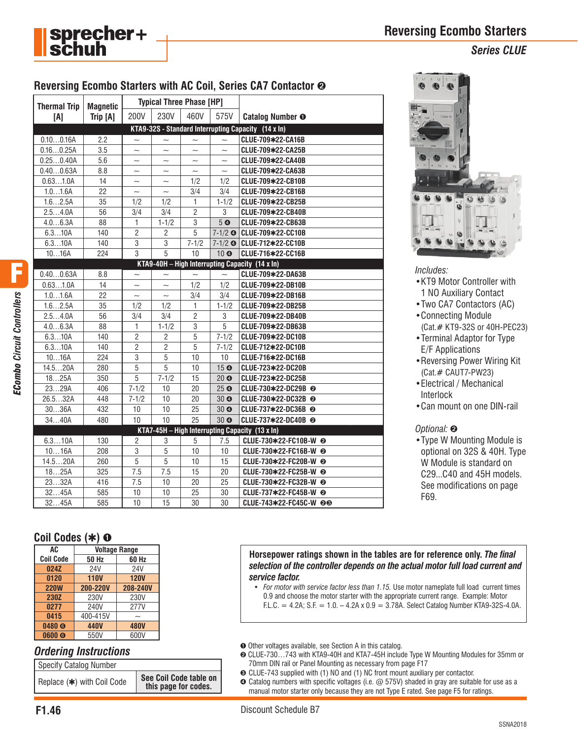



### *Series CLUE*

## **Reversing Ecombo Starters with AC Coil, Series CA7 Contactor** ➋

| <b>Thermal Trip</b>                               | <b>Magnetic</b>                                     | <b>Typical Three Phase [HP]</b> |                           |                           |                           |                                                   |  |  |
|---------------------------------------------------|-----------------------------------------------------|---------------------------------|---------------------------|---------------------------|---------------------------|---------------------------------------------------|--|--|
| [A]                                               | Trip [A]                                            | 200V                            | 230V                      | 460V                      | 575V                      | <b>Catalog Number O</b>                           |  |  |
|                                                   | KTA9-32S - Standard Interrupting Capacity (14 x In) |                                 |                           |                           |                           |                                                   |  |  |
| 0.100.16A                                         | 2.2                                                 | $\tilde{\phantom{a}}$           | $\sim$                    | $\sim$                    | $\sim$                    | CLUE-709*22-CA16B                                 |  |  |
| 0.160.25A                                         | 3.5                                                 | $\tilde{}$                      | $\tilde{}$                | $\widetilde{\phantom{m}}$ | $\widetilde{\phantom{m}}$ | CLUE-709*22-CA25B                                 |  |  |
| 0.250.40A                                         | 5.6                                                 | $\tilde{\phantom{0}}$           | $\tilde{\phantom{a}}$     | $\tilde{\phantom{a}}$     | $\tilde{\phantom{a}}$     | CLUE-709*22-CA40B                                 |  |  |
| 0.400.63A                                         | 8.8                                                 | $\widetilde{\phantom{m}}$       | $\widetilde{\phantom{m}}$ | $\widetilde{\phantom{m}}$ | $\widetilde{\phantom{m}}$ | CLUE-709*22-CA63B                                 |  |  |
| 0.631.0A                                          | 14                                                  | $\sim$                          | $\tilde{\phantom{a}}$     | 1/2                       | 1/2                       | CLUE-709*22-CB10B                                 |  |  |
| 1.01.6A                                           | 22                                                  | $\tilde{}$                      | $\tilde{\phantom{a}}$     | 3/4                       | 3/4                       | CLUE-709*22-CB16B                                 |  |  |
| 1.62.5A                                           | 35                                                  | 1/2                             | 1/2                       | 1                         | $1 - 1/2$                 | CLUE-709*22-CB25B                                 |  |  |
| 2.54.0A                                           | 56                                                  | 3/4                             | 3/4                       | $\overline{2}$            | 3                         | CLUE-709*22-CB40B                                 |  |  |
| 4.06.3A                                           | 88                                                  | $\mathbf{1}$                    | $1 - 1/2$                 | 3                         | 5 <sub>o</sub>            | CLUE-709*22-CB63B                                 |  |  |
| 6.310A                                            | 140                                                 | $\overline{2}$                  | 2                         | 5                         |                           | 7-1/2 © CLUE-709*22-CC10B                         |  |  |
| 6.310A                                            | 140                                                 | 3                               | 3                         | $7 - 1/2$                 |                           | 7-1/2 @ CLUE-712*22-CC10B                         |  |  |
| 1016A                                             | 224                                                 | $\overline{3}$                  | 5                         | 10                        | 10 <sub>o</sub>           | CLUE-716*22-CC16B                                 |  |  |
|                                                   |                                                     |                                 |                           |                           |                           | $KTA9-40H - High Interrupting Capacity (14 x In)$ |  |  |
| 0.400.63A                                         | 8.8                                                 |                                 | $\tilde{}$                |                           |                           | CLUE-709*22-DA63B                                 |  |  |
| 0.631.0A                                          | 14                                                  | $\sim$                          | $\sim$                    | 1/2                       | 1/2                       | CLUE-709*22-DB10B                                 |  |  |
| 1.01.6A                                           | 22                                                  | $\sim$                          | $\sim$                    | 3/4                       | 3/4                       | CLUE-709*22-DB16B                                 |  |  |
| 1.62.5A                                           | 35                                                  | 1/2                             | 1/2                       | $\mathbf{1}$              | $1 - 1/2$                 | CLUE-709*22-DB25B                                 |  |  |
| 2.54.0A                                           | 56                                                  | 3/4                             | 3/4                       | $\overline{c}$            | 3                         | CLUE-709*22-DB40B                                 |  |  |
| 4.06.3A                                           | 88                                                  | 1                               | $1 - 1/2$                 | 3                         | 5                         | CLUE-709*22-DB63B                                 |  |  |
| 6.310A                                            | 140                                                 | $\overline{2}$                  | $\overline{2}$            | 5                         | $7 - 1/2$                 | CLUE-709*22-DC10B                                 |  |  |
| 6.310A                                            | 140                                                 | $\overline{2}$                  | $\overline{2}$            | $\overline{5}$            | $7 - 1/2$                 | CLUE-712*22-DC10B                                 |  |  |
| 1016A                                             | 224                                                 | 3                               | $\overline{5}$            | 10                        | 10                        | CLUE-716*22-DC16B                                 |  |  |
| 14.520A                                           | 280                                                 | 5                               | 5                         | 10                        | 15 <sup>°</sup>           | CLUE-723*22-DC20B                                 |  |  |
| 1825A                                             | 350                                                 | $\overline{5}$                  | $7 - 1/2$                 | 15                        | 20 <sub>o</sub>           | CLUE-723*22-DC25B                                 |  |  |
| 2329A                                             | 406                                                 | $7 - 1/2$                       | 10                        | 20                        | 25 <sup>°</sup>           | CLUE-730*22-DC29B @                               |  |  |
| 26.532A                                           | 448                                                 | $7 - 1/2$                       | 10                        | 20                        | 30 <sub>o</sub>           | CLUE-730*22-DC32B @                               |  |  |
| 3036A                                             | 432                                                 | 10                              | 10                        | 25                        | 30 <sub>o</sub>           | CLUE-737*22-DC36B @                               |  |  |
| 3440A                                             | 480                                                 | 10                              | 10                        | 25                        | 30 <sub>o</sub>           | CLUE-737*22-DC40B <sup>◎</sup>                    |  |  |
| $KTA7-45H - High Interrupting Capacity (13 x In)$ |                                                     |                                 |                           |                           |                           |                                                   |  |  |
| 6.310A                                            | 130                                                 | $\overline{2}$                  | 3                         | 5                         | 7.5                       | CLUE-730*22-FC10B-W @                             |  |  |
| 1016A                                             | 208                                                 | 3                               | 5                         | 10                        | 10                        | CLUE-730*22-FC16B-W @                             |  |  |
| 14.520A                                           | 260                                                 | 5                               | 5                         | 10                        | 15                        | CLUE-730*22-FC20B-W <sup>◎</sup>                  |  |  |
| 1825A                                             | 325                                                 | 7.5                             | 7.5                       | 15                        | 20                        | CLUE-730*22-FC25B-W @                             |  |  |
| 2332A                                             | 416                                                 | 7.5                             | 10                        | 20                        | 25                        | CLUE-730*22-FC32B-W @                             |  |  |
| 3245A                                             | 585                                                 | 10                              | 10                        | 25                        | 30                        | CLUE-737*22-FC45B-W @                             |  |  |
| 3245A                                             | 585                                                 | 10                              | 15                        | 30                        | 30                        | CLUE-743*22-FC45C-W @®                            |  |  |



*Includes:*

- •KT9 Motor Controller with 1 NO Auxiliary Contact
- •Two CA7 Contactors (AC)
- •Connecting Module
- (Cat.# KT9-32S or 40H-PEC23)
- •Terminal Adaptor for Type E/F Applications
- •Reversing Power Wiring Kit (Cat.# CAUT7-PW23)
- •Electrical / Mechanical Interlock
- •Can mount on one DIN-rail

#### *Optional:* ➋

•Type W Mounting Module is optional on 32S & 40H. Type W Module is standard on C29...C40 and 45H models. See modifications on page F69.

## **Coil Codes (**✱**)** ➊

| AC.               | <b>Voltage Range</b> |             |  |  |  |  |  |
|-------------------|----------------------|-------------|--|--|--|--|--|
| <b>Coil Code</b>  | 50 Hz                | 60 Hz       |  |  |  |  |  |
| 024Z              | 24V                  | 24V         |  |  |  |  |  |
| 0120              | <b>110V</b>          | <b>120V</b> |  |  |  |  |  |
| <b>220W</b>       | 200-220V             | 208-240V    |  |  |  |  |  |
| 230Z              | 230V                 | 230V        |  |  |  |  |  |
| 0277              | 240V                 | 277V        |  |  |  |  |  |
| 0415              | 400-415V             |             |  |  |  |  |  |
| 0480 <sub>Q</sub> | 440V                 | <b>480V</b> |  |  |  |  |  |
| 0600 <sub>®</sub> | 550V                 | 600V        |  |  |  |  |  |

#### *Ordering Instructions*

| <b>Specify Catalog Number</b> |                                                |
|-------------------------------|------------------------------------------------|
| Replace (*) with Coil Code    | See Coil Code table on<br>this page for codes. |

**Horsepower ratings shown in the tables are for reference only.** *The final selection of the controller depends on the actual motor full load current and service factor.*

- *For motor with service factor less than 1.15.* Use motor nameplate full load current times 0.9 and choose the motor starter with the appropriate current range. Example: Motor F.L.C. = 4.2A; S.F. =  $1.0. - 4.2A \times 0.9 = 3.78A$ . Select Catalog Number KTA9-32S-4.0A.
- ➊ Other voltages available, see Section A in this catalog.
- ➋ CLUE-730…743 with KTA9-40H and KTA7-45H include Type W Mounting Modules for 35mm or 70mm DIN rail or Panel Mounting as necessary from page F17
- ➌ CLUE-743 supplied with (1) NO and (1) NC front mount auxiliary per contactor.
- ➍ Catalog numbers with specific voltages (i.e. @ 575V) shaded in gray are suitable for use as a manual motor starter only because they are not Type E rated. See page F5 for ratings.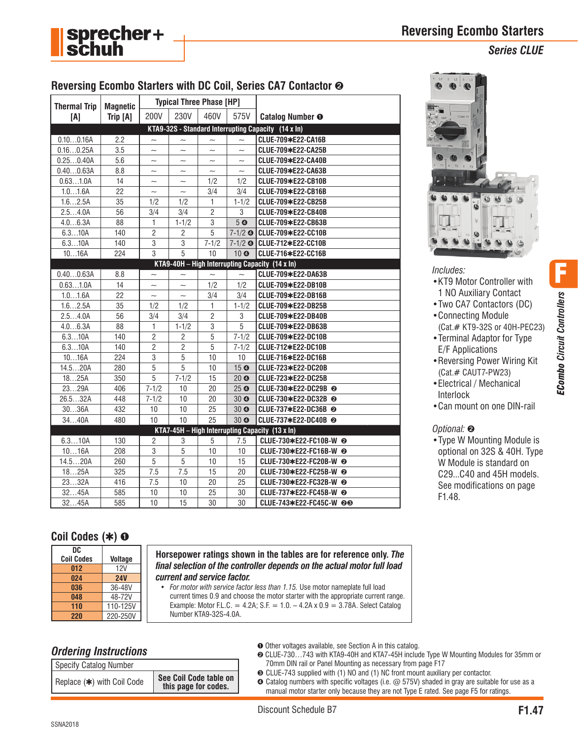

*Series CLUE*



| <b>Thermal Trip</b> | <b>Magnetic</b> | <b>Typical Three Phase [HP]</b> |                           |                           |                           |                                                     |
|---------------------|-----------------|---------------------------------|---------------------------|---------------------------|---------------------------|-----------------------------------------------------|
| [A]                 | Trip [A]        | 200V                            | 230V                      | 460V                      | 575V                      | <b>Catalog Number O</b>                             |
|                     |                 |                                 |                           |                           |                           | KTA9-32S - Standard Interrupting Capacity (14 x ln) |
| 0.100.16A           | 2.2             | $\sim$                          | $\tilde{\phantom{a}}$     | $\sim$                    | $\sim$                    | CLUE-709*E22-CA16B                                  |
| 0.160.25A           | 3.5             | $\widetilde{\phantom{m}}$       | $\widetilde{\phantom{m}}$ | $\widetilde{\phantom{m}}$ | $\widetilde{\phantom{m}}$ | CLUE-709*E22-CA25B                                  |
| 0.250.40A           | 5.6             | $\tilde{}$                      | $\tilde{}$                | $\tilde{\phantom{a}}$     |                           | CLUE-709*E22-CA40B                                  |
| 0.400.63A           | 8.8             |                                 |                           | $\widetilde{\phantom{m}}$ |                           | CLUE-709*E22-CA63B                                  |
| 0.631.0A            | 14              | $\sim$                          | $\sim$                    | 1/2                       | 1/2                       | CLUE-709*E22-CB10B                                  |
| 1.01.6A             | 22              | $\tilde{\phantom{a}}$           | $\tilde{}$                | 3/4                       | 3/4                       | CLUE-709*E22-CB16B                                  |
| 1.62.5A             | 35              | 1/2                             | 1/2                       | 1                         | $1 - 1/2$                 | CLUE-709*E22-CB25B                                  |
| 2.54.0A             | 56              | 3/4                             | 3/4                       | $\overline{c}$            | 3                         | CLUE-709*E22-CB40B                                  |
| 4.06.3A             | 88              | 1                               | $1 - 1/2$                 | 3                         | 5 <sub>o</sub>            | CLUE-709*E22-CB63B                                  |
| 6.310A              | 140             | $\overline{2}$                  | $\overline{2}$            | $\overline{5}$            |                           | 7-1/2 © CLUE-709*E22-CC10B                          |
| 6.310A              | 140             | $\overline{3}$                  | $\sqrt{3}$                | $7 - 1/2$                 |                           | 7-1/2 © CLUE-712*E22-CC10B                          |
| 1016A               | 224             | $\overline{3}$                  | 5                         | 10                        | 10 <sup>o</sup>           | CLUE-716*E22-CC16B                                  |
|                     |                 |                                 |                           |                           |                           | KTA9-40H - High Interrupting Capacity (14 x In)     |
| 0.400.63A           | 8.8             | $\sim$                          | $\tilde{\phantom{a}}$     |                           |                           | CLUE-709*E22-DA63B                                  |
| 0.631.0A            | 14              | $\tilde{\phantom{a}}$           | $\widetilde{\phantom{m}}$ | 1/2                       | 1/2                       | CLUE-709*E22-DB10B                                  |
| 1.01.6A             | 22              | $\sim$                          | $\sim$                    | 3/4                       | 3/4                       | CLUE-709*E22-DB16B                                  |
| 1.62.5A             | 35              | 1/2                             | 1/2                       | 1                         | $1 - 1/2$                 | CLUE-709*E22-DB25B                                  |
| 2.54.0A             | 56              | 3/4                             | 3/4                       | $\overline{c}$            | 3                         | CLUE-709*E22-DB40B                                  |
| 4.06.3A             | 88              | 1                               | $1 - 1/2$                 | 3                         | 5                         | CLUE-709*E22-DB63B                                  |
| 6.310A              | 140             | $\overline{2}$                  | $\overline{2}$            | 5                         | $7 - 1/2$                 | CLUE-709*E22-DC10B                                  |
| 6.310A              | 140             | $\overline{2}$                  | $\overline{2}$            | $\overline{5}$            | $7 - 1/2$                 | CLUE-712*E22-DC10B                                  |
| 1016A               | 224             | 3                               | 5                         | 10                        | 10                        | CLUE-716*E22-DC16B                                  |
| 14.520A             | 280             | 5                               | 5                         | 10                        | 15 <sup>°</sup>           | CLUE-723*E22-DC20B                                  |
| 1825A               | 350             | 5                               | $7 - 1/2$                 | 15                        | 20 <sub>o</sub>           | CLUE-723*E22-DC25B                                  |
| 2329A               | 406             | $7 - 1/2$                       | 10                        | 20                        | 25 <sup>°</sup>           | CLUE-730*E22-DC29B @                                |
| 26.532A             | 448             | $7 - 1/2$                       | 10                        | 20                        | 30 <sub>o</sub>           | CLUE-730*E22-DC32B @                                |
| 3036A               | 432             | 10                              | 10                        | 25                        | 30 <sub>o</sub>           | CLUE-737*E22-DC36B @                                |
| 3440A               | 480             | 10                              | 10                        | 25                        | 30 <sub>o</sub>           | CLUE-737*E22-DC40B @                                |
|                     |                 |                                 |                           |                           |                           | KTA7-45H - High Interrupting Capacity (13 x In)     |
| 6.310A              | 130             | $\overline{2}$                  | 3                         | 5                         | 7.5                       | CLUE-730*E22-FC10B-W @                              |
| 1016A               | 208             | 3                               | $\overline{5}$            | 10                        | 10                        | CLUE-730*E22-FC16B-W @                              |
| 14.520A             | 260             | $\overline{5}$                  | 5                         | 10                        | 15                        | CLUE-730*E22-FC20B-W @                              |
| 1825A               | 325             | 7.5                             | 7.5                       | 15                        | 20                        | CLUE-730*E22-FC25B-W @                              |
| 2332A               | 416             | 7.5                             | 10                        | 20                        | 25                        | CLUE-730*E22-FC32B-W @                              |
| 3245A               | 585             | 10                              | 10                        | 25                        | 30                        | CLUE-737*E22-FC45B-W @                              |
| 3245A               | 585             | 10                              | 15                        | 30                        | 30                        | CLUE-743*E22-FC45C-W @®                             |



#### *Includes:*

- •KT9 Motor Controller with 1 NO Auxiliary Contact
- •Two CA7 Contactors (DC)
- •Connecting Module (Cat.# KT9-32S or 40H-PEC23)
- •Terminal Adaptor for Type E/F Applications
- •Reversing Power Wiring Kit (Cat.# CAUT7-PW23)
- •Electrical / Mechanical Interlock
- •Can mount on one DIN-rail

#### *Optional:* ➋

•Type W Mounting Module is optional on 32S & 40H. Type W Module is standard on C29...C40 and 45H models. See modifications on page F1.48.

## **Coil Codes (**✱**)** ➊

| DC                |                |
|-------------------|----------------|
| <b>Coil Codes</b> | <b>Voltage</b> |
| 012               | 12V            |
| 024               | <b>24V</b>     |
| 036               | 36-48V         |
| 048               | 48-72V         |
| 110               | 110-125V       |
| 220               | 220-250V       |

**Horsepower ratings shown in the tables are for reference only.** *The final selection of the controller depends on the actual motor full load current and service factor.*

• *For motor with service factor less than 1.15.* Use motor nameplate full load current times 0.9 and choose the motor starter with the appropriate current range. Example: Motor F.L.C. = 4.2A; S.F. =  $1.0. - 4.2A \times 0.9 = 3.78A$ . Select Catalog Number KTA9-32S-4.0A.

## *Ordering Instructions*

| Specify Catalog Number     |                                                |
|----------------------------|------------------------------------------------|
| Replace (*) with Coil Code | See Coil Code table on<br>this page for codes. |

➊ Other voltages available, see Section A in this catalog.

- ➋ CLUE-730…743 with KTA9-40H and KTA7-45H include Type W Mounting Modules for 35mm or 70mm DIN rail or Panel Mounting as necessary from page F17
- ➌ CLUE-743 supplied with (1) NO and (1) NC front mount auxiliary per contactor.

➍ Catalog numbers with specific voltages (i.e. @ 575V) shaded in gray are suitable for use as a manual motor starter only because they are not Type E rated. See page F5 for ratings.

F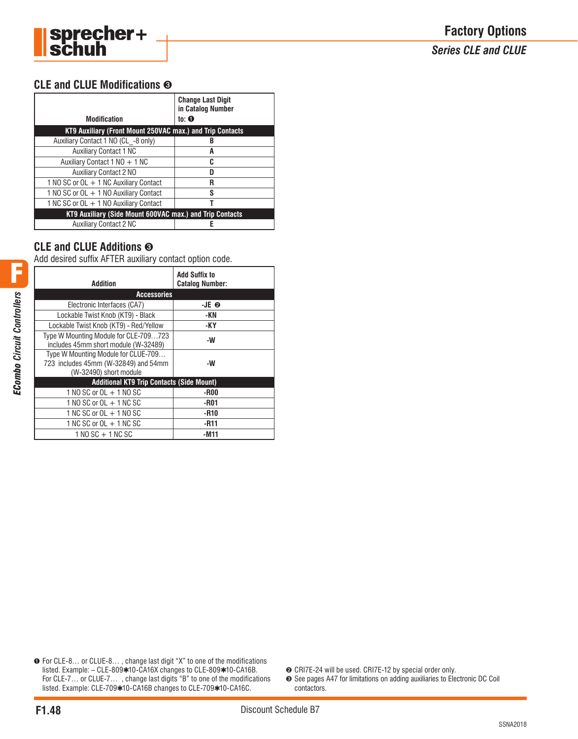

*Series CLE and CLUE*

## **CLE and CLUE Modifications** ➌

| <b>Modification</b><br>KT9 Auxiliary (Front Mount 250VAC max.) and Trip Contacts | <b>Change Last Digit</b><br>in Catalog Number<br>to: $\mathbf 0$ |
|----------------------------------------------------------------------------------|------------------------------------------------------------------|
| Auxiliary Contact 1 NO (CL -8 only)                                              |                                                                  |
| <b>Auxiliary Contact 1 NC</b>                                                    | A                                                                |
| Auxiliary Contact 1 NO + 1 NC                                                    | C                                                                |
| <b>Auxiliary Contact 2 NO</b>                                                    |                                                                  |
| 1 NO SC or OL + 1 NC Auxiliary Contact                                           | R                                                                |
| 1 NO SC or OL + 1 NO Auxiliary Contact                                           | S                                                                |
| 1 NC SC or OL + 1 NO Auxiliary Contact                                           |                                                                  |
| KT9 Auxiliary (Side Mount 600VAC max.) and Trip Contacts                         |                                                                  |
| <b>Auxiliary Contact 2 NC</b>                                                    |                                                                  |

## **CLE and CLUE Additions** ➌

Add desired suffix AFTER auxiliary contact option code.

| <b>Addition</b>                                                                                       | <b>Add Suffix to</b><br><b>Catalog Number:</b> |
|-------------------------------------------------------------------------------------------------------|------------------------------------------------|
| <b>Accessories</b>                                                                                    |                                                |
| Electronic Interfaces (CA7)                                                                           | -JE 0                                          |
| Lockable Twist Knob (KT9) - Black                                                                     | -KN                                            |
| Lockable Twist Knob (KT9) - Red/Yellow                                                                | -KY                                            |
| Type W Mounting Module for CLE-709723<br>includes 45mm short module (W-32489)                         | -W                                             |
| Type W Mounting Module for CLUE-709<br>723 includes 45mm (W-32849) and 54mm<br>(W-32490) short module | -W                                             |
| <b>Additional KT9 Trip Contacts (Side Mount)</b>                                                      |                                                |
| 1 NO SC or OL + 1 NO SC                                                                               | -R00                                           |
| 1 NO SC or $OL + 1$ NC SC                                                                             | -R01                                           |
| 1 NC SC or OL + 1 NO SC                                                                               | -R10                                           |
| 1 NC SC or $OL + 1$ NC SC                                                                             | $-R11$                                         |
| $1 NQ SC + 1 NC SC$                                                                                   | -M11                                           |

➊ For CLE-8… or CLUE-8… , change last digit "X" to one of the modifications listed. Example: – CLE-809✱10-CA16X changes to CLE-809✱10-CA16B. For CLE-7... or CLUE-7..., change last digits "B" to one of the modifications listed. Example: CLE-709✱10-CA16B changes to CLE-709✱10-CA16C.

➋ CRI7E-24 will be used. CRI7E-12 by special order only.

➌ See pages A47 for limitations on adding auxiliaries to Electronic DC Coil contactors.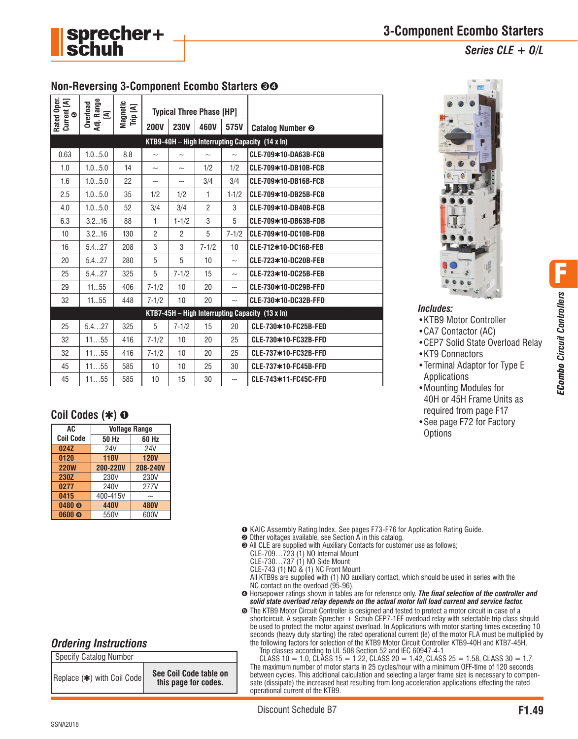

*Includes:*

•KTB9 Motor Controller •CA7 Contactor (AC)

•KT9 Connectors

Applications •Mounting Modules for 40H or 45H Frame Units as required from page F17 •See page F72 for Factory

**Options** 

•CEP7 Solid State Overload Relay

•Terminal Adaptor for Type E

## **Non-Reversing 3-Component Ecombo Starters** ➌➍

| Rated Oper.<br>Current [A]<br>⊕                 | Adj. Range<br>Overload<br>Ξ | Magnetic<br>Trip [A] | <b>Typical Three Phase [HP]</b> |                           |                           |                           |                                                 |  |  |  |
|-------------------------------------------------|-----------------------------|----------------------|---------------------------------|---------------------------|---------------------------|---------------------------|-------------------------------------------------|--|--|--|
|                                                 |                             |                      | <b>200V</b>                     | <b>230V</b>               | 460V                      | 575V                      | <b>Catalog Number @</b>                         |  |  |  |
| KTB9-40H - High Interrupting Capacity (14 x In) |                             |                      |                                 |                           |                           |                           |                                                 |  |  |  |
| 0.63                                            | 1.05.0                      | 8.8                  | $\sim$                          | $\tilde{\phantom{a}}$     | $\widetilde{\phantom{m}}$ | $\sim$                    | CLE-709*10-DA63B-FCB                            |  |  |  |
| 1.0                                             | 1.05.0                      | 14                   | $\tilde{}$                      | $\tilde{\phantom{a}}$     | 1/2                       | 1/2                       | CLE-709*10-DB10B-FCB                            |  |  |  |
| 1.6                                             | 1.05.0                      | 22                   | $\widetilde{\phantom{m}}$       | $\widetilde{\phantom{m}}$ | 3/4                       | 3/4                       | CLE-709*10-DB16B-FCB                            |  |  |  |
| 2.5                                             | 1.05.0                      | 35                   | 1/2                             | 1/2                       | 1                         | $1 - 1/2$                 | CLE-709*10-DB25B-FCB                            |  |  |  |
| 4.0                                             | 1.05.0                      | 52                   | 3/4                             | 3/4                       | $\overline{2}$            | 3                         | CLE-709*10-DB40B-FCB                            |  |  |  |
| 6.3                                             | 3.216                       | 88                   | 1                               | $1 - 1/2$                 | 3                         | 5                         | CLE-709*10-DB63B-FDB                            |  |  |  |
| 10                                              | 3.216                       | 130                  | $\overline{2}$                  | $\overline{2}$            | 5                         | $7 - 1/2$                 | CLE-709*10-DC10B-FDB                            |  |  |  |
| 16                                              | 5.427                       | 208                  | 3                               | 3                         | $7 - 1/2$                 | 10                        | CLE-712*10-DC16B-FEB                            |  |  |  |
| 20                                              | 5.427                       | 280                  | 5                               | 5                         | 10                        | $\widetilde{\phantom{m}}$ | CLE-723*10-DC20B-FEB                            |  |  |  |
| 25                                              | 5.427                       | 325                  | 5                               | $7 - 1/2$                 | 15                        | $\sim$                    | CLE-723*10-DC25B-FEB                            |  |  |  |
| 29                                              | 1155                        | 406                  | $7 - 1/2$                       | 10                        | 20                        | $\sim$                    | CLE-730*10-DC29B-FFD                            |  |  |  |
| 32                                              | 1155                        | 448                  | $7 - 1/2$                       | 10                        | 20                        | $\widetilde{\phantom{m}}$ | CLE-730*10-DC32B-FFD                            |  |  |  |
|                                                 |                             |                      |                                 |                           |                           |                           | KTB7-45H - High Interrupting Capacity (13 x In) |  |  |  |
| 25                                              | 5.427                       | 325                  | 5                               | $7 - 1/2$                 | 15                        | 20                        | CLE-730*10-FC25B-FED                            |  |  |  |
| 32                                              | 1155                        | 416                  | $7 - 1/2$                       | 10                        | 20                        | 25                        | CLE-730*10-FC32B-FFD                            |  |  |  |
| 32                                              | 1155                        | 416                  | $7 - 1/2$                       | 10                        | 20                        | 25                        | CLE-737*10-FC32B-FFD                            |  |  |  |
| 45                                              | 1155                        | 585                  | 10                              | 10                        | 25                        | 30                        | CLE-737*10-FC45B-FFD                            |  |  |  |
| 45                                              | 1155                        | 585                  | 10                              | 15                        | 30                        | $\widetilde{\phantom{m}}$ | CLE-743*11-FC45C-FFD                            |  |  |  |

## **Coil Codes (**✱**)** ➊

| AC                | <b>Voltage Range</b> |             |  |
|-------------------|----------------------|-------------|--|
| <b>Coil Code</b>  | 50 Hz                | 60 Hz       |  |
| 024Z              | 24V                  | 24V         |  |
| 0120              | <b>110V</b>          | <b>120V</b> |  |
| <b>220W</b>       | <b>200-220V</b>      | 208-240V    |  |
| <b>230Z</b>       | 230V                 | 230V        |  |
| 0277              | 240V                 | 277V        |  |
| 0415              | 400-415V             |             |  |
| 0480 <sub>®</sub> | 440V                 | <b>480V</b> |  |
| 0600 <sub>Q</sub> | 550V                 | 600V        |  |

➊ KAIC Assembly Rating Index. See pages F73-F76 for Application Rating Guide.

- ➋ Other voltages available, see Section A in this catalog.
- ➌ All CLE are supplied with Auxiliary Contacts for customer use as follows;
	- CLE-709…723 (1) NO Internal Mount
	- CLE-730…737 (1) NO Side Mount
- CLE-743 (1)  $NO & (1) NC$  Front Mount

All KTB9s are supplied with (1) NO auxiliary contact, which should be used in series with the NC contact on the overload (95-96).

➍ Horsepower ratings shown in tables are for reference only. *The final selection of the controller and solid state overload relay depends on the actual motor full load current and service factor.*

➎ The KTB9 Motor Circuit Controller is designed and tested to protect a motor circuit in case of a shortcircuit. A separate Sprecher  $+$  Schuh CEP7-1EF overload relay with selectable trip class should be used to protect the motor against overload. In Applications with motor starting times exceeding 10 seconds (heavy duty starting) the rated operational current (le) of the motor FLA must be multiplied by the following factors for selection of the KTB9 Motor Circuit Controller KTB9-40H and KTB7-45H.

Trip classes according to UL 508 Section 52 and IEC 60947-4-1

CLASS 10 = 1.0, CLASS 15 = 1.22, CLASS 20 = 1.42, CLASS 25 = 1.58, CLASS 30 = 1.7 The maximum number of motor starts in 25 cycles/hour with a minimum OFF-time of 120 seconds between cycles. This additional calculation and selecting a larger frame size is necessary to compensate (dissipate) the increased heat resulting from long acceleration applications effecting the rated operational current of the KTB9.

*Ordering Instructions*

| Specify Catalog Number     |                                                |
|----------------------------|------------------------------------------------|
| Replace (*) with Coil Code | See Coil Code table on<br>this page for codes. |

F